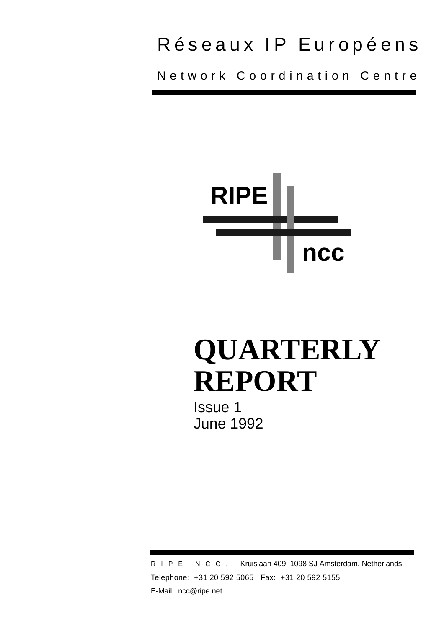# Réseaux IP Européens

Network Coordination Centre



# **QUARTERLY REPORT**

Issue 1 June 1992

RIPE NCC, Kruislaan 409, 1098 SJ Amsterdam, Netherlands Telephone: +31 20 592 5065 Fax: +31 20 592 5155 E-Mail: ncc@ripe.net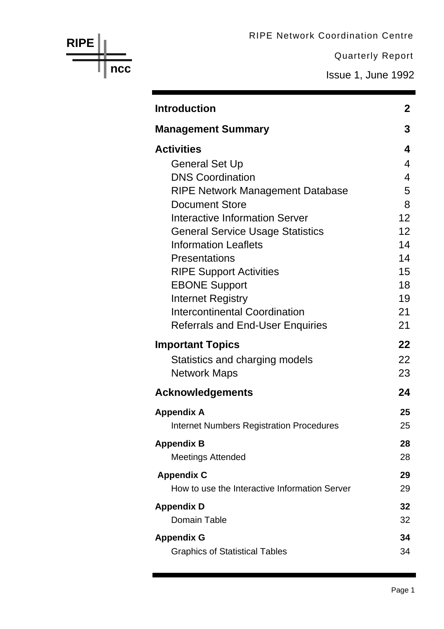RIPE Network Coordination Centre

Quarterly Report

Issue 1, June 1992

| <b>Introduction</b>                                              |
|------------------------------------------------------------------|
| <b>Management Summary</b>                                        |
| <b>Activities</b>                                                |
| <b>General Set Up</b>                                            |
| <b>DNS Coordination</b>                                          |
| <b>RIPE Network Management Database</b>                          |
| <b>Document Store</b>                                            |
| Interactive Information Server                                   |
| <b>General Service Usage Statistics</b>                          |
| <b>Information Leaflets</b>                                      |
| Presentations                                                    |
| <b>RIPE Support Activities</b>                                   |
| <b>EBONE Support</b>                                             |
| <b>Internet Registry</b><br><b>Intercontinental Coordination</b> |
| <b>Referrals and End-User Enquiries</b>                          |
|                                                                  |
| <b>Important Topics</b>                                          |
| Statistics and charging models                                   |
| <b>Network Maps</b>                                              |
| <b>Acknowledgements</b>                                          |
| <b>Appendix A</b>                                                |
| <b>Internet Numbers Registration Procedures</b>                  |
| <b>Appendix B</b>                                                |
| <b>Meetings Attended</b>                                         |
| <b>Appendix C</b>                                                |
| How to use the Interactive Information Server                    |
| <b>Appendix D</b>                                                |
| Domain Table                                                     |
| <b>Appendix G</b>                                                |
| <b>Graphics of Statistical Tables</b>                            |

**RIPE**

**ncc**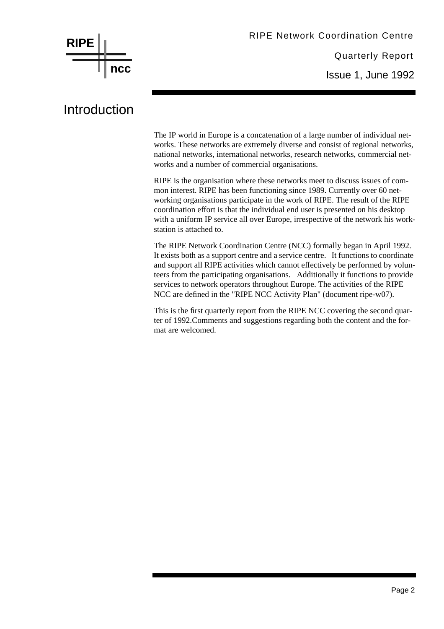

Issue 1, June 1992

# Introduction

The IP world in Europe is a concatenation of a large number of individual networks. These networks are extremely diverse and consist of regional networks, national networks, international networks, research networks, commercial networks and a number of commercial organisations.

RIPE is the organisation where these networks meet to discuss issues of common interest. RIPE has been functioning since 1989. Currently over 60 networking organisations participate in the work of RIPE. The result of the RIPE coordination effort is that the individual end user is presented on his desktop with a uniform IP service all over Europe, irrespective of the network his workstation is attached to.

The RIPE Network Coordination Centre (NCC) formally began in April 1992. It exists both as a support centre and a service centre. It functions to coordinate and support all RIPE activities which cannot effectively be performed by volunteers from the participating organisations. Additionally it functions to provide services to network operators throughout Europe. The activities of the RIPE NCC are defined in the "RIPE NCC Activity Plan" (document ripe-w07).

This is the first quarterly report from the RIPE NCC covering the second quarter of 1992.Comments and suggestions regarding both the content and the format are welcomed.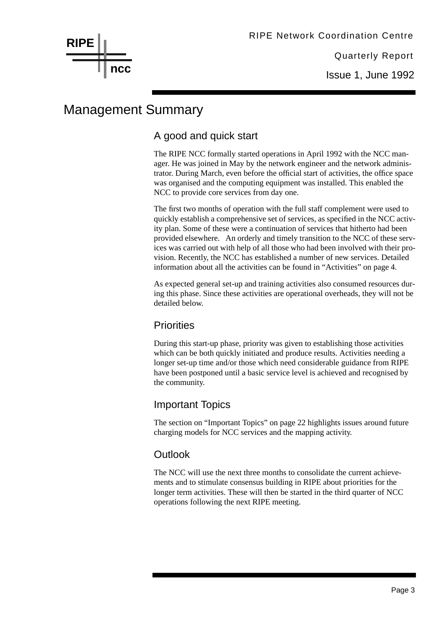# Management Summary

# A good and quick start

The RIPE NCC formally started operations in April 1992 with the NCC manager. He was joined in May by the network engineer and the network administrator. During March, even before the official start of activities, the office space was organised and the computing equipment was installed. This enabled the NCC to provide core services from day one.

The first two months of operation with the full staff complement were used to quickly establish a comprehensive set of services, as specified in the NCC activity plan. Some of these were a continuation of services that hitherto had been provided elsewhere. An orderly and timely transition to the NCC of these services was carried out with help of all those who had been involved with their provision. Recently, the NCC has established a number of new services. Detailed information about all the activities can be found in "Activities" on page 4.

As expected general set-up and training activities also consumed resources during this phase. Since these activities are operational overheads, they will not be detailed below.

#### **Priorities**

During this start-up phase, priority was given to establishing those activities which can be both quickly initiated and produce results. Activities needing a longer set-up time and/or those which need considerable guidance from RIPE have been postponed until a basic service level is achieved and recognised by the community.

# Important Topics

The section on "Important Topics" on page 22 highlights issues around future charging models for NCC services and the mapping activity.

# **Outlook**

The NCC will use the next three months to consolidate the current achievements and to stimulate consensus building in RIPE about priorities for the longer term activities. These will then be started in the third quarter of NCC operations following the next RIPE meeting.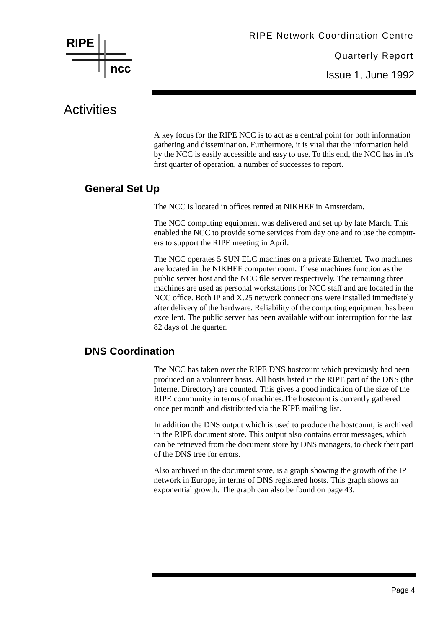

# **Activities**

A key focus for the RIPE NCC is to act as a central point for both information gathering and dissemination. Furthermore, it is vital that the information held by the NCC is easily accessible and easy to use. To this end, the NCC has in it's first quarter of operation, a number of successes to report.

# **General Set Up**

The NCC is located in offices rented at NIKHEF in Amsterdam.

The NCC computing equipment was delivered and set up by late March. This enabled the NCC to provide some services from day one and to use the computers to support the RIPE meeting in April.

The NCC operates 5 SUN ELC machines on a private Ethernet. Two machines are located in the NIKHEF computer room. These machines function as the public server host and the NCC file server respectively. The remaining three machines are used as personal workstations for NCC staff and are located in the NCC office. Both IP and X.25 network connections were installed immediately after delivery of the hardware. Reliability of the computing equipment has been excellent. The public server has been available without interruption for the last 82 days of the quarter.

# **DNS Coordination**

The NCC has taken over the RIPE DNS hostcount which previously had been produced on a volunteer basis. All hosts listed in the RIPE part of the DNS (the Internet Directory) are counted. This gives a good indication of the size of the RIPE community in terms of machines.The hostcount is currently gathered once per month and distributed via the RIPE mailing list.

In addition the DNS output which is used to produce the hostcount, is archived in the RIPE document store. This output also contains error messages, which can be retrieved from the document store by DNS managers, to check their part of the DNS tree for errors.

Also archived in the document store, is a graph showing the growth of the IP network in Europe, in terms of DNS registered hosts. This graph shows an exponential growth. The graph can also be found on page 43.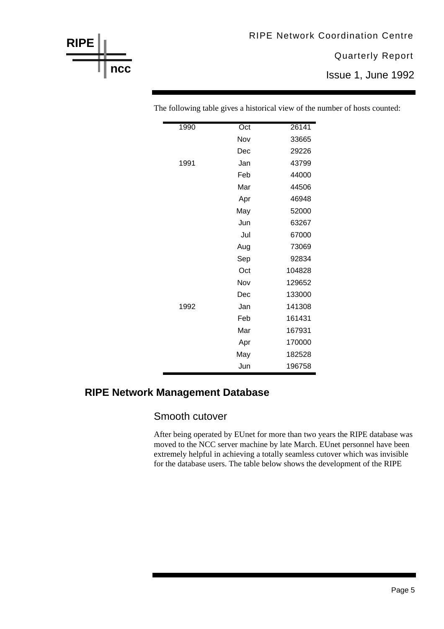# Quarterly Report RIPE Network Coordination Centre

Issue 1, June 1992

| 1990 | Oct | 26141  |
|------|-----|--------|
|      | Nov | 33665  |
|      | Dec | 29226  |
| 1991 | Jan | 43799  |
|      | Feb | 44000  |
|      | Mar | 44506  |
|      | Apr | 46948  |
|      | May | 52000  |
|      | Jun | 63267  |
|      | Jul | 67000  |
|      | Aug | 73069  |
|      | Sep | 92834  |
|      | Oct | 104828 |
|      | Nov | 129652 |
|      | Dec | 133000 |
| 1992 | Jan | 141308 |
|      | Feb | 161431 |
|      | Mar | 167931 |
|      | Apr | 170000 |
|      | May | 182528 |
|      | Jun | 196758 |

The following table gives a historical view of the number of hosts counted:

# **RIPE Network Management Database**

**RIPE**

**ncc**

#### Smooth cutover

After being operated by EUnet for more than two years the RIPE database was moved to the NCC server machine by late March. EUnet personnel have been extremely helpful in achieving a totally seamless cutover which was invisible for the database users. The table below shows the development of the RIPE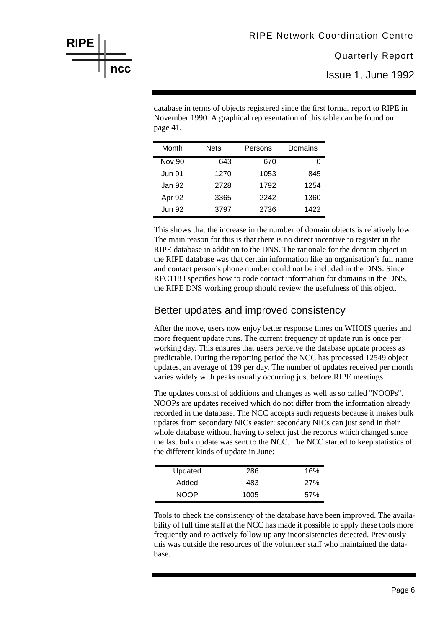Issue 1, June 1992

database in terms of objects registered since the first formal report to RIPE in November 1990. A graphical representation of this table can be found on page 41.

| Month         | <b>Nets</b> | Persons | Domains |
|---------------|-------------|---------|---------|
| <b>Nov 90</b> | 643         | 670     |         |
| Jun 91        | 1270        | 1053    | 845     |
| Jan 92        | 2728        | 1792    | 1254    |
| Apr 92        | 3365        | 2242    | 1360    |
| <b>Jun 92</b> | 3797        | 2736    | 1422    |

This shows that the increase in the number of domain objects is relatively low. The main reason for this is that there is no direct incentive to register in the RIPE database in addition to the DNS. The rationale for the domain object in the RIPE database was that certain information like an organisation's full name and contact person's phone number could not be included in the DNS. Since RFC1183 specifies how to code contact information for domains in the DNS, the RIPE DNS working group should review the usefulness of this object.

#### Better updates and improved consistency

After the move, users now enjoy better response times on WHOIS queries and more frequent update runs. The current frequency of update run is once per working day. This ensures that users perceive the database update process as predictable. During the reporting period the NCC has processed 12549 object updates, an average of 139 per day. The number of updates received per month varies widely with peaks usually occurring just before RIPE meetings.

The updates consist of additions and changes as well as so called "NOOPs". NOOPs are updates received which do not differ from the information already recorded in the database. The NCC accepts such requests because it makes bulk updates from secondary NICs easier: secondary NICs can just send in their whole database without having to select just the records which changed since the last bulk update was sent to the NCC. The NCC started to keep statistics of the different kinds of update in June:

| Updated     | 286  | 16%        |
|-------------|------|------------|
| Added       | 483  | <b>27%</b> |
| <b>NOOP</b> | 1005 | 57%        |

Tools to check the consistency of the database have been improved. The availability of full time staff at the NCC has made it possible to apply these tools more frequently and to actively follow up any inconsistencies detected. Previously this was outside the resources of the volunteer staff who maintained the database.

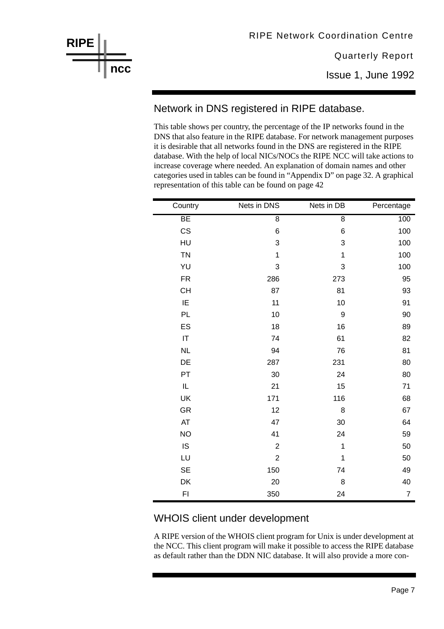Issue 1, June 1992

# Network in DNS registered in RIPE database.

This table shows per country, the percentage of the IP networks found in the DNS that also feature in the RIPE database. For network management purposes it is desirable that all networks found in the DNS are registered in the RIPE database. With the help of local NICs/NOCs the RIPE NCC will take actions to increase coverage where needed. An explanation of domain names and other categories used in tables can be found in "Appendix D" on page 32. A graphical representation of this table can be found on page 42

| Country   | Nets in DNS    | Nets in DB     | Percentage     |
|-----------|----------------|----------------|----------------|
| BE        | $\overline{8}$ | $\overline{8}$ | 100            |
| CS        | 6              | 6              | 100            |
| HU        | 3              | 3              | 100            |
| <b>TN</b> | $\mathbf 1$    | 1              | 100            |
| YU        | 3              | 3              | 100            |
| <b>FR</b> | 286            | 273            | 95             |
| <b>CH</b> | 87             | 81             | 93             |
| IE        | 11             | 10             | 91             |
| PL        | 10             | 9              | 90             |
| ES        | 18             | 16             | 89             |
| IT        | 74             | 61             | 82             |
| <b>NL</b> | 94             | 76             | 81             |
| DE        | 287            | 231            | 80             |
| PT        | 30             | 24             | 80             |
| $\sf IL$  | 21             | 15             | 71             |
| UK        | 171            | 116            | 68             |
| <b>GR</b> | 12             | 8              | 67             |
| AT        | 47             | 30             | 64             |
| <b>NO</b> | 41             | 24             | 59             |
| IS        | $\overline{c}$ | $\mathbf{1}$   | 50             |
| LU        | $\overline{2}$ | 1              | 50             |
| <b>SE</b> | 150            | 74             | 49             |
| DK        | 20             | 8              | 40             |
| FI        | 350            | 24             | $\overline{7}$ |

# WHOIS client under development

A RIPE version of the WHOIS client program for Unix is under development at the NCC. This client program will make it possible to access the RIPE database as default rather than the DDN NIC database. It will also provide a more con-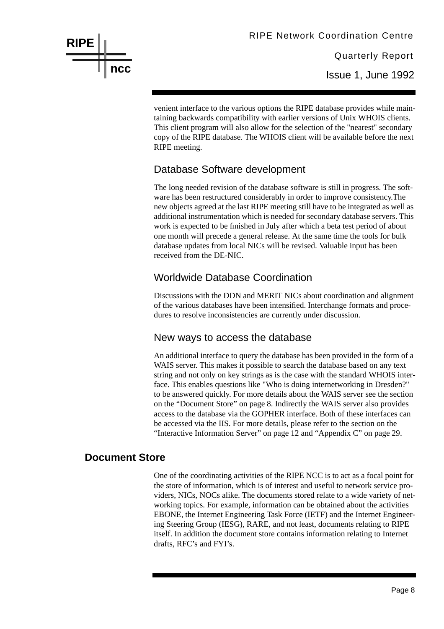

venient interface to the various options the RIPE database provides while maintaining backwards compatibility with earlier versions of Unix WHOIS clients. This client program will also allow for the selection of the "nearest" secondary copy of the RIPE database. The WHOIS client will be available before the next RIPE meeting.

# Database Software development

The long needed revision of the database software is still in progress. The software has been restructured considerably in order to improve consistency.The new objects agreed at the last RIPE meeting still have to be integrated as well as additional instrumentation which is needed for secondary database servers. This work is expected to be finished in July after which a beta test period of about one month will precede a general release. At the same time the tools for bulk database updates from local NICs will be revised. Valuable input has been received from the DE-NIC.

# Worldwide Database Coordination

Discussions with the DDN and MERIT NICs about coordination and alignment of the various databases have been intensified. Interchange formats and procedures to resolve inconsistencies are currently under discussion.

#### New ways to access the database

An additional interface to query the database has been provided in the form of a WAIS server. This makes it possible to search the database based on any text string and not only on key strings as is the case with the standard WHOIS interface. This enables questions like "Who is doing internetworking in Dresden?" to be answered quickly. For more details about the WAIS server see the section on the "Document Store" on page 8. Indirectly the WAIS server also provides access to the database via the GOPHER interface. Both of these interfaces can be accessed via the IIS. For more details, please refer to the section on the "Interactive Information Server" on page 12 and "Appendix C" on page 29.

#### **Document Store**

One of the coordinating activities of the RIPE NCC is to act as a focal point for the store of information, which is of interest and useful to network service providers, NICs, NOCs alike. The documents stored relate to a wide variety of networking topics. For example, information can be obtained about the activities EBONE, the Internet Engineering Task Force (IETF) and the Internet Engineering Steering Group (IESG), RARE, and not least, documents relating to RIPE itself. In addition the document store contains information relating to Internet drafts, RFC's and FYI's.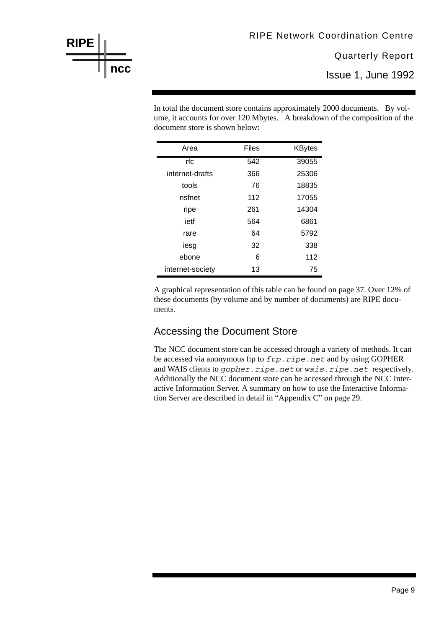Issue 1, June 1992

In total the document store contains approximately 2000 documents. By volume, it accounts for over 120 Mbytes. A breakdown of the composition of the document store is shown below:

| Area             | <b>Files</b> | <b>KBytes</b> |
|------------------|--------------|---------------|
| rfc              | 542          | 39055         |
| internet-drafts  | 366          | 25306         |
| tools            | 76           | 18835         |
| nsfnet           | 112          | 17055         |
| ripe             | 261          | 14304         |
| ietf             | 564          | 6861          |
| rare             | 64           | 5792          |
| iesg             | 32           | 338           |
| ebone            | 6            | 112           |
| internet-society | 13           | 75            |

**RIPE**

**ncc**

A graphical representation of this table can be found on page 37. Over 12% of these documents (by volume and by number of documents) are RIPE documents.

# Accessing the Document Store

The NCC document store can be accessed through a variety of methods. It can be accessed via anonymous ftp to *ftp.ripe.net* and by using GOPHER and WAIS clients to *gopher.ripe.net* or *wais.ripe.net* respectively. Additionally the NCC document store can be accessed through the NCC Interactive Information Server. A summary on how to use the Interactive Information Server are described in detail in "Appendix C" on page 29.

#### Page 9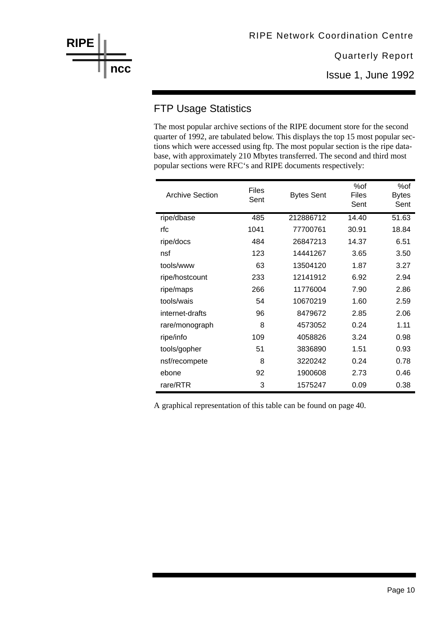# FTP Usage Statistics

The most popular archive sections of the RIPE document store for the second quarter of 1992, are tabulated below. This displays the top 15 most popular sections which were accessed using ftp. The most popular section is the ripe database, with approximately 210 Mbytes transferred. The second and third most popular sections were RFC's and RIPE documents respectively:

| <b>Archive Section</b> | <b>Files</b><br>Sent | <b>Bytes Sent</b> | %of<br><b>Files</b><br>Sent | %of<br><b>Bytes</b><br>Sent |
|------------------------|----------------------|-------------------|-----------------------------|-----------------------------|
| ripe/dbase             | 485                  | 212886712         | 14.40                       | 51.63                       |
| rfc                    | 1041                 | 77700761          | 30.91                       | 18.84                       |
| ripe/docs              | 484                  | 26847213          | 14.37                       | 6.51                        |
| nsf                    | 123                  | 14441267          | 3.65                        | 3.50                        |
| tools/www              | 63                   | 13504120          | 1.87                        | 3.27                        |
| ripe/hostcount         | 233                  | 12141912          | 6.92                        | 2.94                        |
| ripe/maps              | 266                  | 11776004          | 7.90                        | 2.86                        |
| tools/wais             | 54                   | 10670219          | 1.60                        | 2.59                        |
| internet-drafts        | 96                   | 8479672           | 2.85                        | 2.06                        |
| rare/monograph         | 8                    | 4573052           | 0.24                        | 1.11                        |
| ripe/info              | 109                  | 4058826           | 3.24                        | 0.98                        |
| tools/gopher           | 51                   | 3836890           | 1.51                        | 0.93                        |
| nsf/recompete          | 8                    | 3220242           | 0.24                        | 0.78                        |
| ebone                  | 92                   | 1900608           | 2.73                        | 0.46                        |
| rare/RTR               | 3                    | 1575247           | 0.09                        | 0.38                        |

A graphical representation of this table can be found on page 40.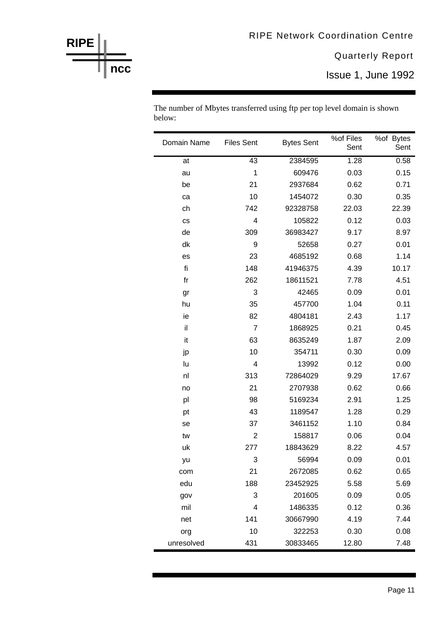| Domain Name | <b>Files Sent</b> | <b>Bytes Sent</b> | %of Files<br>Sent | %of Bytes<br>Sent |
|-------------|-------------------|-------------------|-------------------|-------------------|
| at          | 43                | 2384595           | 1.28              | 0.58              |
| au          | 1                 | 609476            | 0.03              | 0.15              |
| be          | 21                | 2937684           | 0.62              | 0.71              |
| ca          | 10                | 1454072           | 0.30              | 0.35              |
| ch          | 742               | 92328758          | 22.03             | 22.39             |
| CS          | 4                 | 105822            | 0.12              | 0.03              |
| de          | 309               | 36983427          | 9.17              | 8.97              |
| dk          | 9                 | 52658             | 0.27              | 0.01              |
| es          | 23                | 4685192           | 0.68              | 1.14              |
| fi          | 148               | 41946375          | 4.39              | 10.17             |
| $f$ r       | 262               | 18611521          | 7.78              | 4.51              |
| gr          | 3                 | 42465             | 0.09              | 0.01              |
| hu          | 35                | 457700            | 1.04              | 0.11              |
| ie          | 82                | 4804181           | 2.43              | 1.17              |
| il          | $\overline{7}$    | 1868925           | 0.21              | 0.45              |
| it          | 63                | 8635249           | 1.87              | 2.09              |
| jp          | 10                | 354711            | 0.30              | 0.09              |
| lu          | 4                 | 13992             | 0.12              | 0.00              |
| nl          | 313               | 72864029          | 9.29              | 17.67             |
| no          | 21                | 2707938           | 0.62              | 0.66              |
| pl          | 98                | 5169234           | 2.91              | 1.25              |
| pt          | 43                | 1189547           | 1.28              | 0.29              |
| se          | 37                | 3461152           | 1.10              | 0.84              |
| tw          | $\overline{2}$    | 158817            | 0.06              | 0.04              |
| uk          | 277               | 18843629          | 8.22              | 4.57              |
| yu          | 3                 | 56994             | 0.09              | 0.01              |
| com         | 21                | 2672085           | 0.62              | 0.65              |
| edu         | 188               | 23452925          | 5.58              | 5.69              |
| gov         | 3                 | 201605            | 0.09              | 0.05              |
| mil         | 4                 | 1486335           | 0.12              | 0.36              |
| net         | 141               | 30667990          | 4.19              | 7.44              |
| org         | 10                | 322253            | 0.30              | 0.08              |
| unresolved  | 431               | 30833465          | 12.80             | 7.48              |

The number of Mbytes transferred using ftp per top level domain is shown below:

# **RIPE ncc**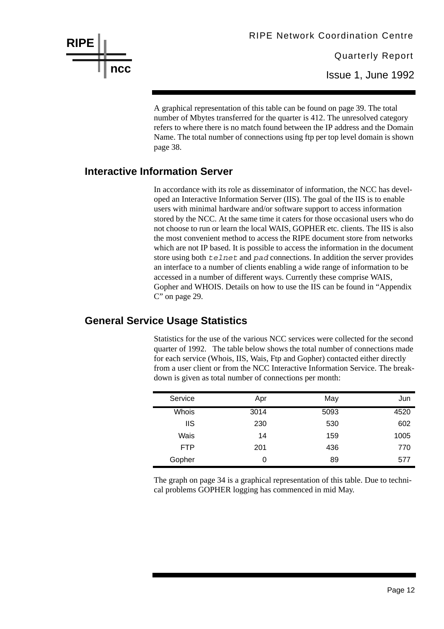

A graphical representation of this table can be found on page 39. The total number of Mbytes transferred for the quarter is 412. The unresolved category refers to where there is no match found between the IP address and the Domain Name. The total number of connections using ftp per top level domain is shown page 38.

#### **Interactive Information Server**

In accordance with its role as disseminator of information, the NCC has developed an Interactive Information Server (IIS). The goal of the IIS is to enable users with minimal hardware and/or software support to access information stored by the NCC. At the same time it caters for those occasional users who do not choose to run or learn the local WAIS, GOPHER etc. clients. The IIS is also the most convenient method to access the RIPE document store from networks which are not IP based. It is possible to access the information in the document store using both *telnet* and *pad* connections. In addition the server provides an interface to a number of clients enabling a wide range of information to be accessed in a number of different ways. Currently these comprise WAIS, Gopher and WHOIS. Details on how to use the IIS can be found in "Appendix C" on page 29.

#### **General Service Usage Statistics**

Statistics for the use of the various NCC services were collected for the second quarter of 1992. The table below shows the total number of connections made for each service (Whois, IIS, Wais, Ftp and Gopher) contacted either directly from a user client or from the NCC Interactive Information Service. The breakdown is given as total number of connections per month:

| Service    | Apr  | May  | Jun  |
|------------|------|------|------|
| Whois      | 3014 | 5093 | 4520 |
| <b>IIS</b> | 230  | 530  | 602  |
| Wais       | 14   | 159  | 1005 |
| <b>FTP</b> | 201  | 436  | 770  |
| Gopher     | 0    | 89   | 577  |

The graph on page 34 is a graphical representation of this table. Due to technical problems GOPHER logging has commenced in mid May.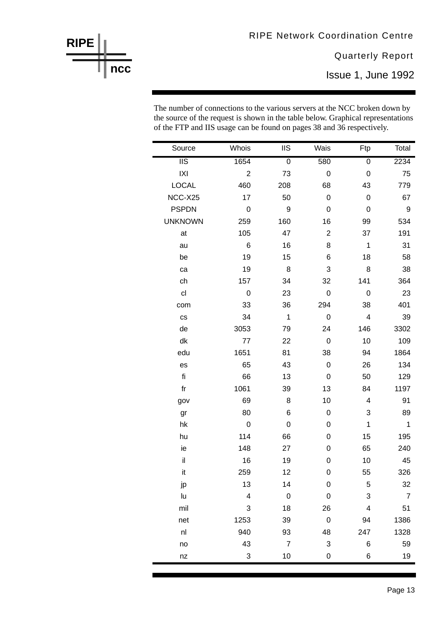Issue 1, June 1992

The number of connections to the various servers at the NCC broken down by the source of the request is shown in the table below. Graphical representations of the FTP and IIS usage can be found on pages 38 and 36 respectively.

| Source                  | Whois                   | <b>IIS</b>     | Wais             | Ftp                     | Total          |
|-------------------------|-------------------------|----------------|------------------|-------------------------|----------------|
| $\overline{\text{II}}$  | 1654                    | $\overline{0}$ | 580              | $\overline{0}$          | 2234           |
| X                       | $\overline{2}$          | 73             | $\mathbf 0$      | $\pmb{0}$               | 75             |
| <b>LOCAL</b>            | 460                     | 208            | 68               | 43                      | 779            |
| NCC-X25                 | 17                      | 50             | 0                | $\mathbf 0$             | 67             |
| <b>PSPDN</b>            | $\mathsf{O}\xspace$     | 9              | $\pmb{0}$        | $\boldsymbol{0}$        | 9              |
| <b>UNKNOWN</b>          | 259                     | 160            | 16               | 99                      | 534            |
| at                      | 105                     | 47             | $\boldsymbol{2}$ | 37                      | 191            |
| au                      | $6\phantom{1}$          | 16             | 8                | $\mathbf 1$             | 31             |
| be                      | 19                      | 15             | 6                | 18                      | 58             |
| ca                      | 19                      | 8              | 3                | 8                       | 38             |
| ch                      | 157                     | 34             | 32               | 141                     | 364            |
| c <sub>l</sub>          | $\mathbf 0$             | 23             | $\pmb{0}$        | $\mathbf 0$             | 23             |
| com                     | 33                      | 36             | 294              | 38                      | 401            |
| $\mathsf{CS}\xspace$    | 34                      | $\mathbf 1$    | $\pmb{0}$        | $\overline{\mathbf{4}}$ | 39             |
| de                      | 3053                    | 79             | 24               | 146                     | 3302           |
| dk                      | 77                      | 22             | 0                | 10                      | 109            |
| edu                     | 1651                    | 81             | 38               | 94                      | 1864           |
| es                      | 65                      | 43             | $\boldsymbol{0}$ | 26                      | 134            |
| fi                      | 66                      | 13             | 0                | 50                      | 129            |
| $\operatorname{\sf fr}$ | 1061                    | 39             | 13               | 84                      | 1197           |
| gov                     | 69                      | 8              | 10               | $\overline{4}$          | 91             |
| gr                      | 80                      | 6              | 0                | 3                       | 89             |
| hk                      | $\mathsf{O}\xspace$     | $\mathbf 0$    | 0                | $\mathbf 1$             | $\mathbf 1$    |
| hu                      | 114                     | 66             | 0                | 15                      | 195            |
| ie                      | 148                     | 27             | 0                | 65                      | 240            |
| $\mathsf{il}$           | 16                      | 19             | $\mathbf 0$      | 10                      | 45             |
| it                      | 259                     | 12             | 0                | 55                      | 326            |
| jp                      | 13                      | 14             | $\mathbf 0$      | 5                       | 32             |
| lu                      | $\overline{\mathbf{4}}$ | $\mathbf 0$    | $\mathbf 0$      | 3                       | $\overline{7}$ |
| mil                     | 3                       | 18             | 26               | $\overline{\mathbf{4}}$ | 51             |
| net                     | 1253                    | 39             | $\pmb{0}$        | 94                      | 1386           |
| n                       | 940                     | 93             | 48               | 247                     | 1328           |
| no                      | 43                      | $\overline{7}$ | $\mathbf{3}$     | 6                       | 59             |
| nz                      | 3                       | 10             | 0                | 6                       | 19             |

Ē.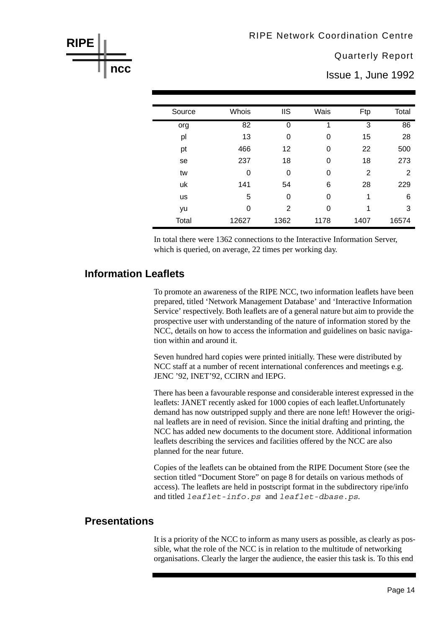Issue 1, June 1992

| Source    | Whois | <b>IIS</b>  | Wais | Ftp            | Total |
|-----------|-------|-------------|------|----------------|-------|
| org       | 82    | $\mathbf 0$ | 1    | $\overline{3}$ | 86    |
| pl        | 13    | 0           | 0    | 15             | 28    |
| pt        | 466   | 12          | 0    | 22             | 500   |
| se        | 237   | 18          | 0    | 18             | 273   |
| tw        | 0     | 0           | 0    | 2              | 2     |
| uk        | 141   | 54          | 6    | 28             | 229   |
| <b>us</b> | 5     | 0           | 0    | 1              | 6     |
| yu        | 0     | 2           | 0    | 1              | 3     |
| Total     | 12627 | 1362        | 1178 | 1407           | 16574 |

In total there were 1362 connections to the Interactive Information Server, which is queried, on average, 22 times per working day.

#### **Information Leaflets**

To promote an awareness of the RIPE NCC, two information leaflets have been prepared, titled 'Network Management Database' and 'Interactive Information Service' respectively. Both leaflets are of a general nature but aim to provide the prospective user with understanding of the nature of information stored by the NCC, details on how to access the information and guidelines on basic navigation within and around it

Seven hundred hard copies were printed initially. These were distributed by NCC staff at a number of recent international conferences and meetings e.g. JENC '92, INET'92, CCIRN and IEPG.

There has been a favourable response and considerable interest expressed in the leaflets: JANET recently asked for 1000 copies of each leaflet. Unfortunately demand has now outstripped supply and there are none left! However the original leaflets are in need of revision. Since the initial drafting and printing, the NCC has added new documents to the document store. Additional information leaflets describing the services and facilities offered by the NCC are also planned for the near future.

Copies of the leaflets can be obtained from the RIPE Document Store (see the section titled "Document Store" on page 8 for details on various methods of access). The leaflets are held in postscript format in the subdirectory ripe/info and titled leaflet-info.ps and leaflet-dbase.ps.

#### **Presentations**

It is a priority of the NCC to inform as many users as possible, as clearly as possible, what the role of the NCC is in relation to the multitude of networking organisations. Clearly the larger the audience, the easier this task is. To this end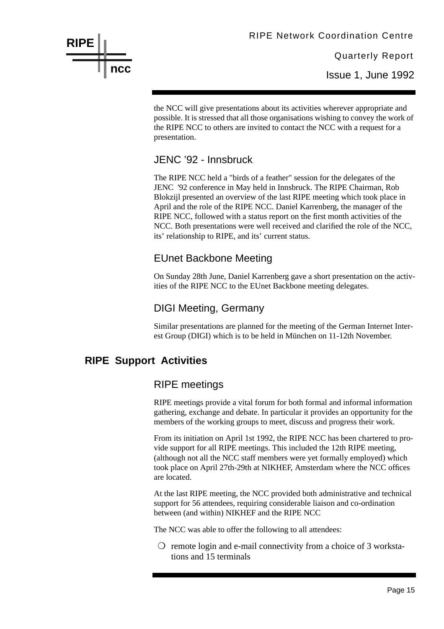the NCC will give presentations about its activities wherever appropriate and possible. It is stressed that all those organisations wishing to convey the work of the RIPE NCC to others are invited to contact the NCC with a request for a presentation.

# JENC '92 - Innsbruck

The RIPE NCC held a "birds of a feather" session for the delegates of the JENC '92 conference in May held in Innsbruck. The RIPE Chairman, Rob Blokzijl presented an overview of the last RIPE meeting which took place in April and the role of the RIPE NCC. Daniel Karrenberg, the manager of the RIPE NCC, followed with a status report on the first month activities of the NCC. Both presentations were well received and clarified the role of the NCC, its' relationship to RIPE, and its' current status.

# EUnet Backbone Meeting

On Sunday 28th June, Daniel Karrenberg gave a short presentation on the activities of the RIPE NCC to the EUnet Backbone meeting delegates.

# DIGI Meeting, Germany

Similar presentations are planned for the meeting of the German Internet Interest Group (DIGI) which is to be held in München on 11-12th November.

# **RIPE Support Activities**

# RIPE meetings

RIPE meetings provide a vital forum for both formal and informal information gathering, exchange and debate. In particular it provides an opportunity for the members of the working groups to meet, discuss and progress their work.

From its initiation on April 1st 1992, the RIPE NCC has been chartered to provide support for all RIPE meetings. This included the 12th RIPE meeting, (although not all the NCC staff members were yet formally employed) which took place on April 27th-29th at NIKHEF, Amsterdam where the NCC offices are located.

At the last RIPE meeting, the NCC provided both administrative and technical support for 56 attendees, requiring considerable liaison and co-ordination between (and within) NIKHEF and the RIPE NCC

The NCC was able to offer the following to all attendees:

 $\bigcirc$  remote login and e-mail connectivity from a choice of 3 workstations and 15 terminals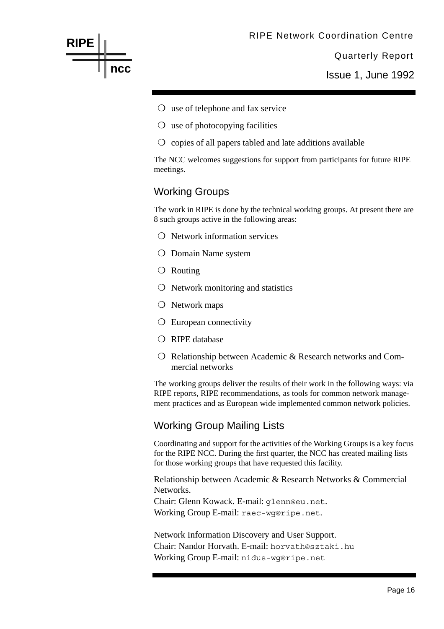Issue 1, June 1992

- ❍ use of telephone and fax service
- ❍ use of photocopying facilities
- ❍ copies of all papers tabled and late additions available

The NCC welcomes suggestions for support from participants for future RIPE meetings.

# Working Groups

**RIPE**

**ncc**

The work in RIPE is done by the technical working groups. At present there are 8 such groups active in the following areas:

- ❍ Network information services
- ❍ Domain Name system
- ❍ Routing
- ❍ Network monitoring and statistics
- ❍ Network maps
- ❍ European connectivity
- ❍ RIPE database
- ❍ Relationship between Academic & Research networks and Commercial networks

The working groups deliver the results of their work in the following ways: via RIPE reports, RIPE recommendations, as tools for common network management practices and as European wide implemented common network policies.

# Working Group Mailing Lists

Coordinating and support for the activities of the Working Groups is a key focus for the RIPE NCC. During the first quarter, the NCC has created mailing lists for those working groups that have requested this facility.

Relationship between Academic & Research Networks & Commercial Networks.

Chair: Glenn Kowack. E-mail: glenn@eu.net. Working Group E-mail: raec-wg@ripe.net.

Network Information Discovery and User Support. Chair: Nandor Horvath. E-mail: horvath@sztaki.hu Working Group E-mail: nidus-wg@ripe.net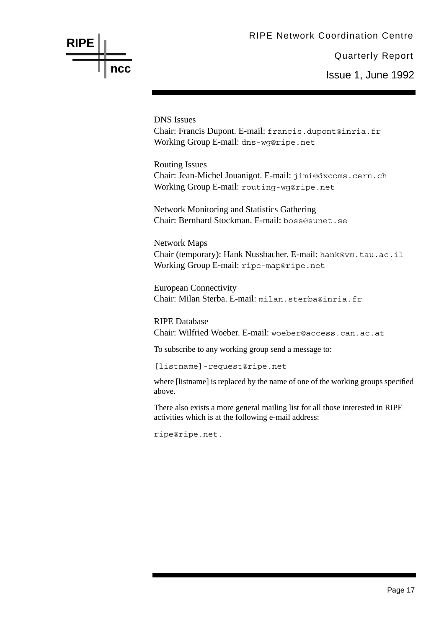# **RIPE ncc**

Quarterly Report Issue 1, June 1992

DNS Issues Chair: Francis Dupont. E-mail: francis.dupont@inria.fr Working Group E-mail: dns-wg@ripe.net

Routing Issues Chair: Jean-Michel Jouanigot. E-mail: jimi@dxcoms.cern.ch Working Group E-mail: routing-wg@ripe.net

Network Monitoring and Statistics Gathering Chair: Bernhard Stockman. E-mail: boss@sunet.se

Network Maps Chair (temporary): Hank Nussbacher. E-mail: hank@vm.tau.ac.il Working Group E-mail: ripe-map@ripe.net

European Connectivity Chair: Milan Sterba. E-mail: milan.sterba@inria.fr

RIPE Database Chair: Wilfried Woeber. E-mail: woeber@access.can.ac.at

To subscribe to any working group send a message to:

[listname]-request@ripe.net

where [listname] is replaced by the name of one of the working groups specified above.

There also exists a more general mailing list for all those interested in RIPE activities which is at the following e-mail address:

ripe@ripe.net.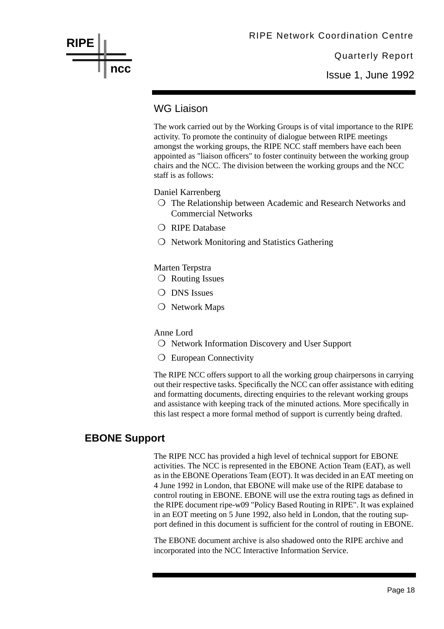Issue 1, June 1992

### WG Liaison

The work carried out by the Working Groups is of vital importance to the RIPE activity. To promote the continuity of dialogue between RIPE meetings amongst the working groups, the RIPE NCC staff members have each been appointed as "liaison officers" to foster continuity between the working group chairs and the NCC. The division between the working groups and the NCC staff is as follows:

Daniel Karrenberg

- ❍ The Relationship between Academic and Research Networks and Commercial Networks
- ❍ RIPE Database
- ❍ Network Monitoring and Statistics Gathering

Marten Terpstra

- ❍ Routing Issues
- O DNS Issues
- ❍ Network Maps

#### Anne Lord

- ❍ Network Information Discovery and User Support
- ❍ European Connectivity

The RIPE NCC offers support to all the working group chairpersons in carrying out their respective tasks. Specifically the NCC can offer assistance with editing and formatting documents, directing enquiries to the relevant working groups and assistance with keeping track of the minuted actions. More specifically in this last respect a more formal method of support is currently being drafted.

# **EBONE Support**

The RIPE NCC has provided a high level of technical support for EBONE activities. The NCC is represented in the EBONE Action Team (EAT), as well as in the EBONE Operations Team (EOT). It was decided in an EAT meeting on 4 June 1992 in London, that EBONE will make use of the RIPE database to control routing in EBONE. EBONE will use the extra routing tags as defined in the RIPE document ripe-w09 "Policy Based Routing in RIPE". It was explained in an EOT meeting on 5 June 1992, also held in London, that the routing support defined in this document is sufficient for the control of routing in EBONE.

The EBONE document archive is also shadowed onto the RIPE archive and incorporated into the NCC Interactive Information Service.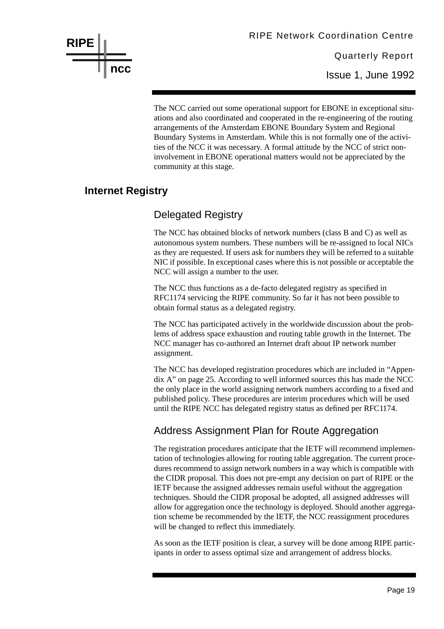

The NCC carried out some operational support for EBONE in exceptional situations and also coordinated and cooperated in the re-engineering of the routing arrangements of the Amsterdam EBONE Boundary System and Regional Boundary Systems in Amsterdam. While this is not formally one of the activities of the NCC it was necessary. A formal attitude by the NCC of strict noninvolvement in EBONE operational matters would not be appreciated by the community at this stage.

#### **Internet Registry**

# Delegated Registry

The NCC has obtained blocks of network numbers (class B and C) as well as autonomous system numbers. These numbers will be re-assigned to local NICs as they are requested. If users ask for numbers they will be referred to a suitable NIC if possible. In exceptional cases where this is not possible or acceptable the NCC will assign a number to the user.

The NCC thus functions as a de-facto delegated registry as specified in RFC1174 servicing the RIPE community. So far it has not been possible to obtain formal status as a delegated registry.

The NCC has participated actively in the worldwide discussion about the problems of address space exhaustion and routing table growth in the Internet. The NCC manager has co-authored an Internet draft about IP network number assignment.

The NCC has developed registration procedures which are included in "Appendix A" on page 25. According to well informed sources this has made the NCC the only place in the world assigning network numbers according to a fixed and published policy. These procedures are interim procedures which will be used until the RIPE NCC has delegated registry status as defined per RFC1174.

# Address Assignment Plan for Route Aggregation

The registration procedures anticipate that the IETF will recommend implementation of technologies allowing for routing table aggregation. The current procedures recommend to assign network numbers in a way which is compatible with the CIDR proposal. This does not pre-empt any decision on part of RIPE or the IETF because the assigned addresses remain useful without the aggregation techniques. Should the CIDR proposal be adopted, all assigned addresses will allow for aggregation once the technology is deployed. Should another aggregation scheme be recommended by the IETF, the NCC reassignment procedures will be changed to reflect this immediately.

As soon as the IETF position is clear, a survey will be done among RIPE participants in order to assess optimal size and arrangement of address blocks.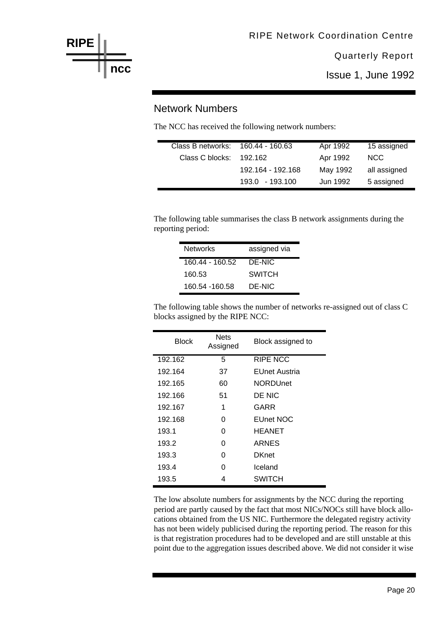

Issue 1, June 1992

#### Network Numbers

The NCC has received the following network numbers:

| Class B networks: 160.44 - 160.63 |                   | Apr 1992 | 15 assigned  |
|-----------------------------------|-------------------|----------|--------------|
| Class C blocks:                   | 192.162           | Apr 1992 | NCC.         |
|                                   | 192.164 - 192.168 | May 1992 | all assigned |
|                                   | $193.0 + 193.100$ | Jun 1992 | 5 assigned   |

The following table summarises the class B network assignments during the reporting period:

| <b>Networks</b> | assigned via |
|-----------------|--------------|
| 160.44 - 160.52 | DE-NIC       |
| 160.53          | SWITCH       |
| 160.54 -160.58  | DE-NIC       |

The following table shows the number of networks re-assigned out of class C blocks assigned by the RIPE NCC:

| Block   | Nets<br>Assigned | Block assigned to |
|---------|------------------|-------------------|
| 192.162 | 5                | <b>RIPE NCC</b>   |
| 192.164 | 37               | EUnet Austria     |
| 192.165 | 60               | <b>NORDUnet</b>   |
| 192.166 | 51               | DE NIC            |
| 192.167 | 1                | GARR              |
| 192.168 | O                | <b>EUnet NOC</b>  |
| 193.1   | O                | HEANET            |
| 193.2   | O                | ARNES             |
| 193.3   | O                | <b>DKnet</b>      |
| 193.4   | O                | Iceland           |
| 193.5   | 4                | SWITCH            |

The low absolute numbers for assignments by the NCC during the reporting period are partly caused by the fact that most NICs/NOCs still have block allocations obtained from the US NIC. Furthermore the delegated registry activity has not been widely publicised during the reporting period. The reason for this is that registration procedures had to be developed and are still unstable at this point due to the aggregation issues described above. We did not consider it wise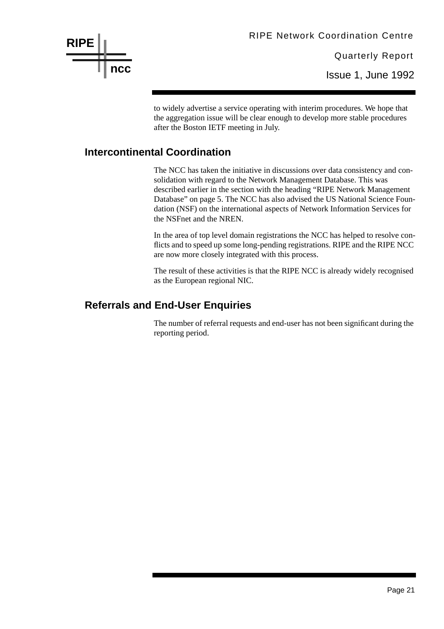RIPE Network Coordination Centre

Quarterly Report Issue 1, June 1992

to widely advertise a service operating with interim procedures. We hope that the aggregation issue will be clear enough to develop more stable procedures after the Boston IETF meeting in July.

#### **Intercontinental Coordination**

The NCC has taken the initiative in discussions over data consistency and consolidation with regard to the Network Management Database. This was described earlier in the section with the heading "RIPE Network Management Database" on page 5. The NCC has also advised the US National Science Foundation (NSF) on the international aspects of Network Information Services for the NSFnet and the NREN.

In the area of top level domain registrations the NCC has helped to resolve conflicts and to speed up some long-pending registrations. RIPE and the RIPE NCC are now more closely integrated with this process.

The result of these activities is that the RIPE NCC is already widely recognised as the European regional NIC.

# **Referrals and End-User Enquiries**

The number of referral requests and end-user has not been significant during the reporting period.

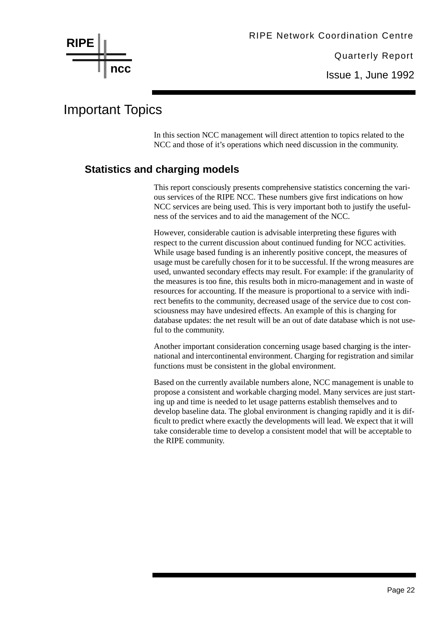

# Important Topics

In this section NCC management will direct attention to topics related to the NCC and those of it's operations which need discussion in the community.

# **Statistics and charging models**

This report consciously presents comprehensive statistics concerning the various services of the RIPE NCC. These numbers give first indications on how NCC services are being used. This is very important both to justify the usefulness of the services and to aid the management of the NCC.

However, considerable caution is advisable interpreting these figures with respect to the current discussion about continued funding for NCC activities. While usage based funding is an inherently positive concept, the measures of usage must be carefully chosen for it to be successful. If the wrong measures are used, unwanted secondary effects may result. For example: if the granularity of the measures is too fine, this results both in micro-management and in waste of resources for accounting. If the measure is proportional to a service with indirect benefits to the community, decreased usage of the service due to cost consciousness may have undesired effects. An example of this is charging for database updates: the net result will be an out of date database which is not useful to the community.

Another important consideration concerning usage based charging is the international and intercontinental environment. Charging for registration and similar functions must be consistent in the global environment.

Based on the currently available numbers alone, NCC management is unable to propose a consistent and workable charging model. Many services are just starting up and time is needed to let usage patterns establish themselves and to develop baseline data. The global environment is changing rapidly and it is difficult to predict where exactly the developments will lead. We expect that it will take considerable time to develop a consistent model that will be acceptable to the RIPE community.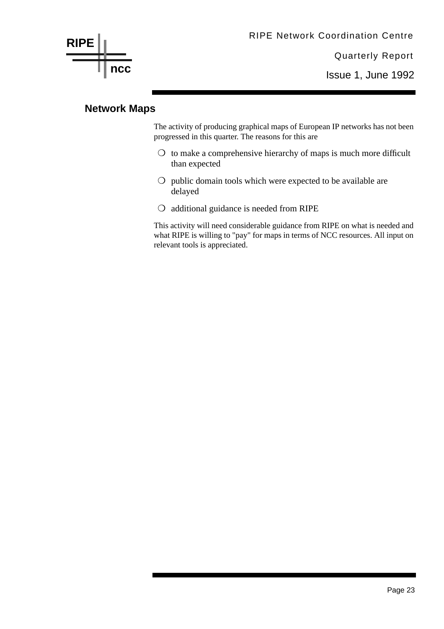

Issue 1, June 1992

#### **Network Maps**

The activity of producing graphical maps of European IP networks has not been progressed in this quarter. The reasons for this are

- $\bigcirc$  to make a comprehensive hierarchy of maps is much more difficult than expected
- ❍ public domain tools which were expected to be available are delayed
- ❍ additional guidance is needed from RIPE

This activity will need considerable guidance from RIPE on what is needed and what RIPE is willing to "pay" for maps in terms of NCC resources. All input on relevant tools is appreciated.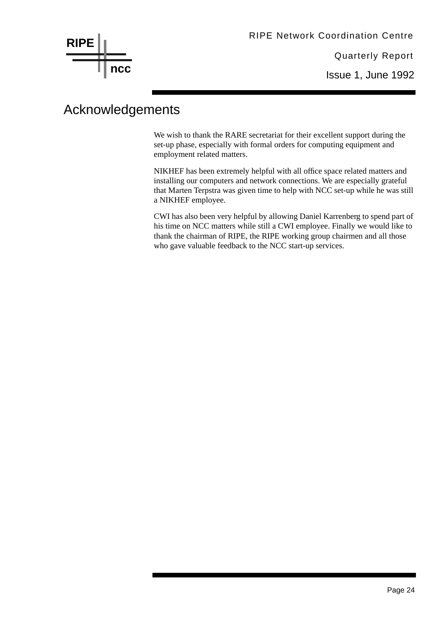

# Acknowledgements

We wish to thank the RARE secretariat for their excellent support during the set-up phase, especially with formal orders for computing equipment and employment related matters.

NIKHEF has been extremely helpful with all office space related matters and installing our computers and network connections. We are especially grateful that Marten Terpstra was given time to help with NCC set-up while he was still a NIKHEF employee.

CWI has also been very helpful by allowing Daniel Karrenberg to spend part of his time on NCC matters while still a CWI employee. Finally we would like to thank the chairman of RIPE, the RIPE working group chairmen and all those who gave valuable feedback to the NCC start-up services.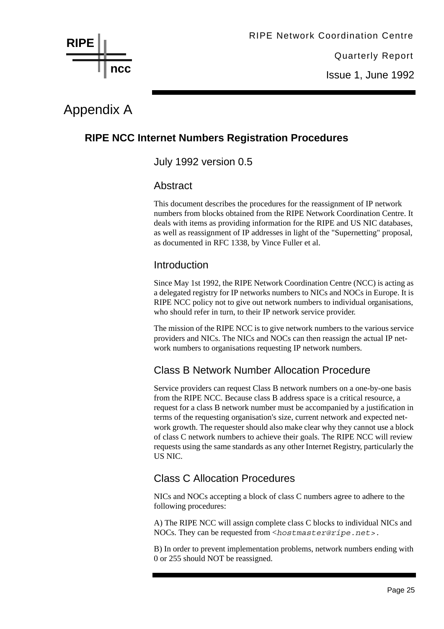

Issue 1, June 1992

# Appendix A

# **RIPE NCC Internet Numbers Registration Procedures**

July 1992 version 0.5

#### Abstract

This document describes the procedures for the reassignment of IP network numbers from blocks obtained from the RIPE Network Coordination Centre. It deals with items as providing information for the RIPE and US NIC databases, as well as reassignment of IP addresses in light of the "Supernetting" proposal, as documented in RFC 1338, by Vince Fuller et al.

#### Introduction

Since May 1st 1992, the RIPE Network Coordination Centre (NCC) is acting as a delegated registry for IP networks numbers to NICs and NOCs in Europe. It is RIPE NCC policy not to give out network numbers to individual organisations, who should refer in turn, to their IP network service provider.

The mission of the RIPE NCC is to give network numbers to the various service providers and NICs. The NICs and NOCs can then reassign the actual IP network numbers to organisations requesting IP network numbers.

# Class B Network Number Allocation Procedure

Service providers can request Class B network numbers on a one-by-one basis from the RIPE NCC. Because class B address space is a critical resource, a request for a class B network number must be accompanied by a justification in terms of the requesting organisation's size, current network and expected network growth. The requester should also make clear why they cannot use a block of class C network numbers to achieve their goals. The RIPE NCC will review requests using the same standards as any other Internet Registry, particularly the US NIC.

# Class C Allocation Procedures

NICs and NOCs accepting a block of class C numbers agree to adhere to the following procedures:

A) The RIPE NCC will assign complete class C blocks to individual NICs and NOCs. They can be requested from <*hostmaster@ripe.net>.*

B) In order to prevent implementation problems, network numbers ending with 0 or 255 should NOT be reassigned.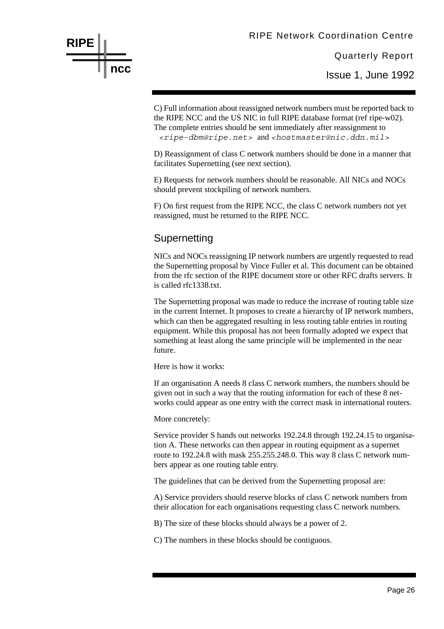Issue 1, June 1992

C) Full information about reassigned network numbers must be reported back to the RIPE NCC and the US NIC in full RIPE database format (ref ripe-w02). The complete entries should be sent immediately after reassignment to *<ripe-dbm@ripe.net>* and *<hostmaster@nic.ddn.mil>*

D) Reassignment of class C network numbers should be done in a manner that facilitates Supernetting (see next section).

E) Requests for network numbers should be reasonable. All NICs and NOCs should prevent stockpiling of network numbers.

F) On first request from the RIPE NCC, the class C network numbers not yet reassigned, must be returned to the RIPE NCC.

#### **Supernetting**

**RIPE**

**ncc**

NICs and NOCs reassigning IP network numbers are urgently requested to read the Supernetting proposal by Vince Fuller et al. This document can be obtained from the rfc section of the RIPE document store or other RFC drafts servers. It is called rfc1338.txt.

The Supernetting proposal was made to reduce the increase of routing table size in the current Internet. It proposes to create a hierarchy of IP network numbers, which can then be aggregated resulting in less routing table entries in routing equipment. While this proposal has not been formally adopted we expect that something at least along the same principle will be implemented in the near future.

Here is how it works:

If an organisation A needs 8 class C network numbers, the numbers should be given out in such a way that the routing information for each of these 8 networks could appear as one entry with the correct mask in international routers.

More concretely:

Service provider S hands out networks 192.24.8 through 192.24.15 to organisation A. These networks can then appear in routing equipment as a supernet route to 192.24.8 with mask 255.255.248.0. This way 8 class C network numbers appear as one routing table entry.

The guidelines that can be derived from the Supernetting proposal are:

A) Service providers should reserve blocks of class C network numbers from their allocation for each organisations requesting class C network numbers.

B) The size of these blocks should always be a power of 2.

C) The numbers in these blocks should be contiguous.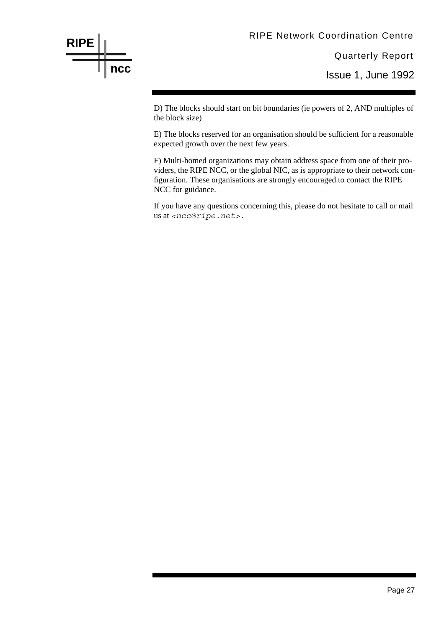

Issue 1, June 1992

D) The blocks should start on bit boundaries (ie powers of 2, AND multiples of the block size)

E) The blocks reserved for an organisation should be sufficient for a reasonable expected growth over the next few years.

F) Multi-homed organizations may obtain address space from one of their providers, the RIPE NCC, or the global NIC, as is appropriate to their network configuration. These organisations are strongly encouraged to contact the RIPE NCC for guidance.

If you have any questions concerning this, please do not hesitate to call or mail us at *<ncc@ripe.net>.*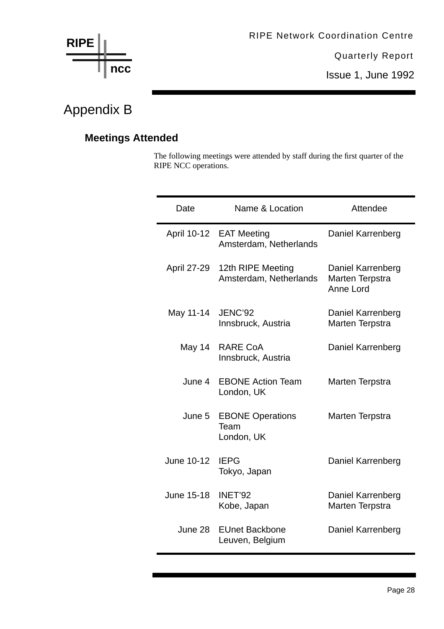

Issue 1, June 1992

# Appendix B

# **Meetings Attended**

The following meetings were attended by staff during the first quarter of the RIPE NCC operations.

| Date        | Name & Location                               | Attendee                                          |
|-------------|-----------------------------------------------|---------------------------------------------------|
| April 10-12 | <b>EAT Meeting</b><br>Amsterdam, Netherlands  | Daniel Karrenberg                                 |
| April 27-29 | 12th RIPE Meeting<br>Amsterdam, Netherlands   | Daniel Karrenberg<br>Marten Terpstra<br>Anne Lord |
| May 11-14   | <b>JENC'92</b><br>Innsbruck, Austria          | Daniel Karrenberg<br>Marten Terpstra              |
| May 14      | <b>RARE CoA</b><br>Innsbruck, Austria         | Daniel Karrenberg                                 |
| June 4      | <b>EBONE Action Team</b><br>London, UK        | Marten Terpstra                                   |
| June 5      | <b>EBONE Operations</b><br>Team<br>London, UK | Marten Terpstra                                   |
| June 10-12  | <b>IEPG</b><br>Tokyo, Japan                   | Daniel Karrenberg                                 |
| June 15-18  | INET'92<br>Kobe, Japan                        | Daniel Karrenberg<br>Marten Terpstra              |
| June 28     | <b>EUnet Backbone</b><br>Leuven, Belgium      | Daniel Karrenberg                                 |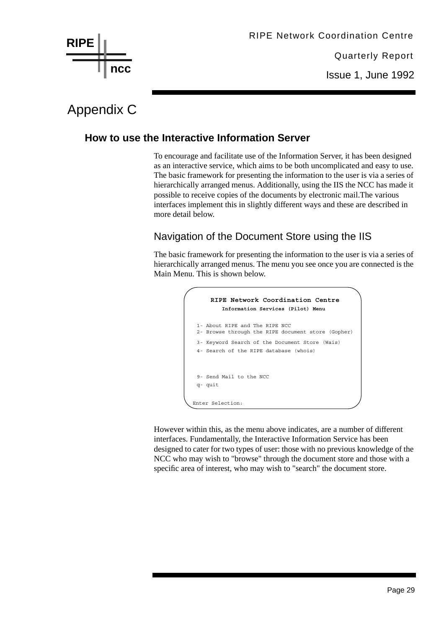

Issue 1, June 1992

# Appendix C

# **How to use the Interactive Information Server**

To encourage and facilitate use of the Information Server, it has been designed as an interactive service, which aims to be both uncomplicated and easy to use. The basic framework for presenting the information to the user is via a series of hierarchically arranged menus. Additionally, using the IIS the NCC has made it possible to receive copies of the documents by electronic mail.The various interfaces implement this in slightly different ways and these are described in more detail below.

# Navigation of the Document Store using the IIS

The basic framework for presenting the information to the user is via a series of hierarchically arranged menus. The menu you see once you are connected is the Main Menu. This is shown below.



However within this, as the menu above indicates, are a number of different interfaces. Fundamentally, the Interactive Information Service has been designed to cater for two types of user: those with no previous knowledge of the NCC who may wish to "browse" through the document store and those with a specific area of interest, who may wish to "search" the document store.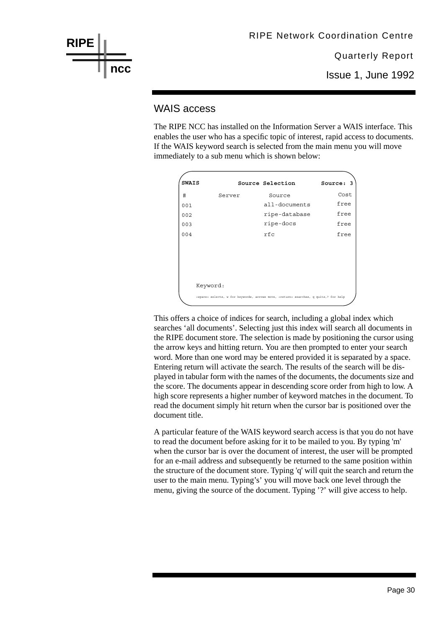

#### WAIS access

The RIPE NCC has installed on the Information Server a WAIS interface. This enables the user who has a specific topic of interest, rapid access to documents. If the WAIS keyword search is selected from the main menu you will move immediately to a sub menu which is shown below:

| <b>SWAIS</b> |          | Source Selection                                                                                     | Source: 3 |
|--------------|----------|------------------------------------------------------------------------------------------------------|-----------|
| #            | Server   | Source                                                                                               | Cost      |
| 001          |          | all-documents                                                                                        | free      |
| 002          |          | ripe-database                                                                                        | free      |
| 003          |          | ripe-docs                                                                                            | free      |
| 004          |          | rfc                                                                                                  | free      |
|              |          |                                                                                                      |           |
|              |          |                                                                                                      |           |
|              |          |                                                                                                      |           |
|              |          |                                                                                                      |           |
|              | Keyword: |                                                                                                      |           |
|              |          | <space> selects, w for keywords, arrows move, <return> searches, q quits,? for help</return></space> |           |

This offers a choice of indices for search, including a global index which searches 'all documents'. Selecting just this index will search all documents in the RIPE document store. The selection is made by positioning the cursor using the arrow keys and hitting return. You are then prompted to enter your search word. More than one word may be entered provided it is separated by a space. Entering return will activate the search. The results of the search will be displayed in tabular form with the names of the documents, the documents size and the score. The documents appear in descending score order from high to low. A high score represents a higher number of keyword matches in the document. To read the document simply hit return when the cursor bar is positioned over the document title.

A particular feature of the WAIS keyword search access is that you do not have to read the document before asking for it to be mailed to you. By typing 'm' when the cursor bar is over the document of interest, the user will be prompted for an e-mail address and subsequently be returned to the same position within the structure of the document store. Typing 'q' will quit the search and return the user to the main menu. Typing's' you will move back one level through the menu, giving the source of the document. Typing '?' will give access to help.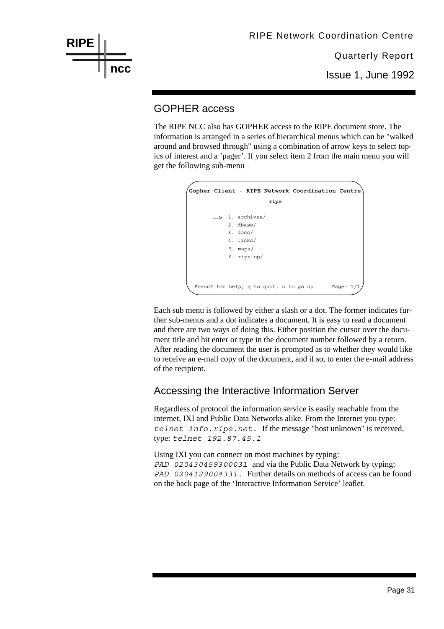

#### GOPHER access

The RIPE NCC also has GOPHER access to the RIPE document store. The information is arranged in a series of hierarchical menus which can be "walked around and browsed through" using a combination of arrow keys to select topics of interest and a 'pager'. If you select item 2 from the main menu you will get the following sub-menu

| Gopher Client - RIPE Network Coordination Centre                                           |
|--------------------------------------------------------------------------------------------|
| ripe                                                                                       |
| ---> 1. archives/<br>$2.$ dbase/<br>$3.$ docs/<br>$4.$ links/<br>5. maps/<br>$6.$ ripe-op/ |
| Page: $1/1$<br>Press? for help, q to quit, u to go up                                      |

Each sub menu is followed by either a slash or a dot. The former indicates further sub-menus and a dot indicates a document. It is easy to read a document and there are two ways of doing this. Either position the cursor over the document title and hit enter or type in the document number followed by a return. After reading the document the user is prompted as to whether they would like to receive an e-mail copy of the document, and if so, to enter the e-mail address of the recipient.

# Accessing the Interactive Information Server

Regardless of protocol the information service is easily reachable from the internet, IXI and Public Data Networks alike. From the Internet you type: *telnet info.ripe.net.* If the message "host unknown" is received, type: *telnet 192.87.45.1*

Using IXI you can connect on most machines by typing: *PAD 020430459300031* and via the Public Data Network by typing: *PAD 0204129004331.* Further details on methods of access can be found on the back page of the 'Interactive Information Service' leaflet.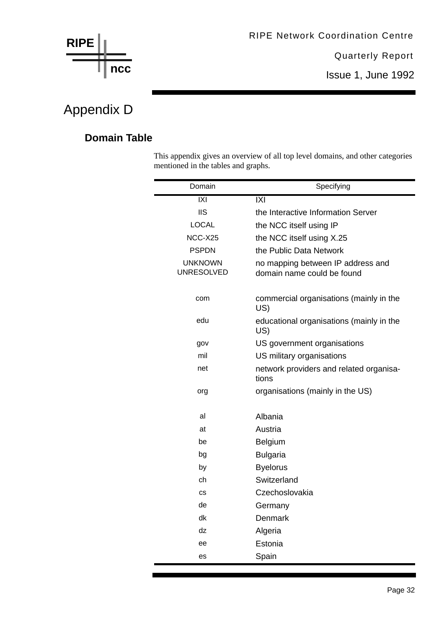

# Appendix D

# **Domain Table**

This appendix gives an overview of all top level domains, and other categories mentioned in the tables and graphs.

| Domain                              | Specifying                                                      |
|-------------------------------------|-----------------------------------------------------------------|
| $\overline{IX}$                     | $\overline{IX}$                                                 |
| <b>IIS</b>                          | the Interactive Information Server                              |
| <b>LOCAL</b>                        | the NCC itself using IP                                         |
| NCC-X25                             | the NCC itself using X.25                                       |
| <b>PSPDN</b>                        | the Public Data Network                                         |
| <b>UNKNOWN</b><br><b>UNRESOLVED</b> | no mapping between IP address and<br>domain name could be found |
| com                                 | commercial organisations (mainly in the<br>US)                  |
| edu                                 | educational organisations (mainly in the<br>US)                 |
| gov                                 | US government organisations                                     |
| mil                                 | US military organisations                                       |
| net                                 | network providers and related organisa-<br>tions                |
| org                                 | organisations (mainly in the US)                                |
| al                                  | Albania                                                         |
| at                                  | Austria                                                         |
| be                                  | <b>Belgium</b>                                                  |
| bg                                  | <b>Bulgaria</b>                                                 |
| by                                  | <b>Byelorus</b>                                                 |
| ch                                  | Switzerland                                                     |
| <b>CS</b>                           | Czechoslovakia                                                  |
| de                                  | Germany                                                         |
| dk                                  | Denmark                                                         |
| dz                                  | Algeria                                                         |
| ee                                  | Estonia                                                         |
| es                                  | Spain                                                           |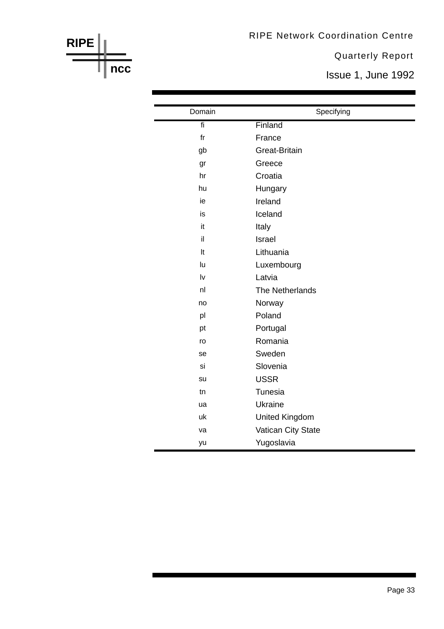#### RIPE Network Coordination Centre

Quarterly Report

Issue 1, June 1992

| Domain                  | Specifying            |
|-------------------------|-----------------------|
| fi                      | Finland               |
| f <sub>r</sub>          | France                |
| gb                      | <b>Great-Britain</b>  |
| gr                      | Greece                |
| hr                      | Croatia               |
| hu                      | Hungary               |
| ie                      | Ireland               |
| is                      | Iceland               |
| it                      | Italy                 |
| il                      | Israel                |
| It                      | Lithuania             |
| lu                      | Luxembourg            |
| $\mathsf{I} \mathsf{v}$ | Latvia                |
| n <sub>l</sub>          | The Netherlands       |
| no                      | Norway                |
| pl                      | Poland                |
| pt                      | Portugal              |
| ro                      | Romania               |
| se                      | Sweden                |
| si                      | Slovenia              |
| su                      | <b>USSR</b>           |
| tn                      | Tunesia               |
| ua                      | Ukraine               |
| uk                      | <b>United Kingdom</b> |
| va                      | Vatican City State    |
| yu                      | Yugoslavia            |

**RIPE**

**ncc**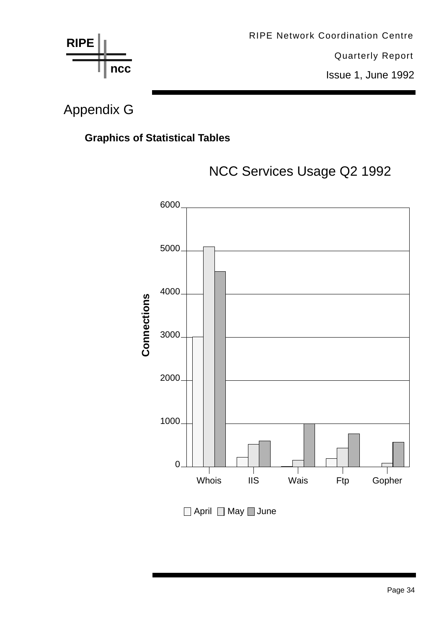

# Appendix G

# **Graphics of Statistical Tables**



# NCC Services Usage Q2 1992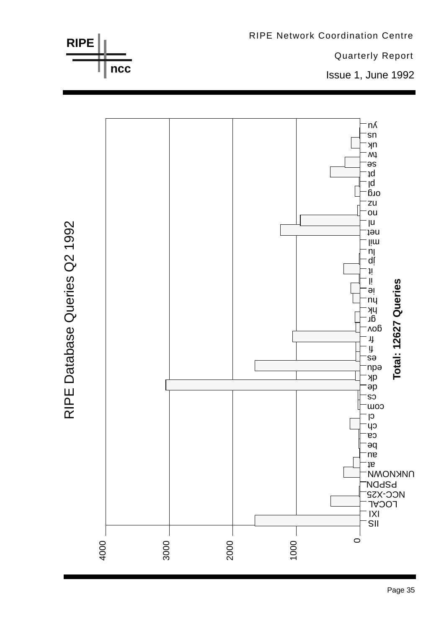

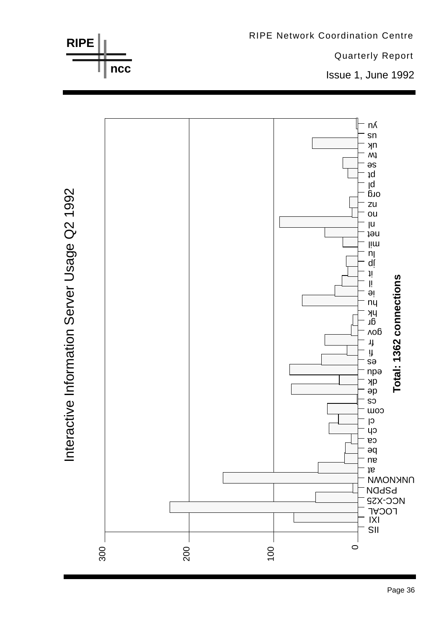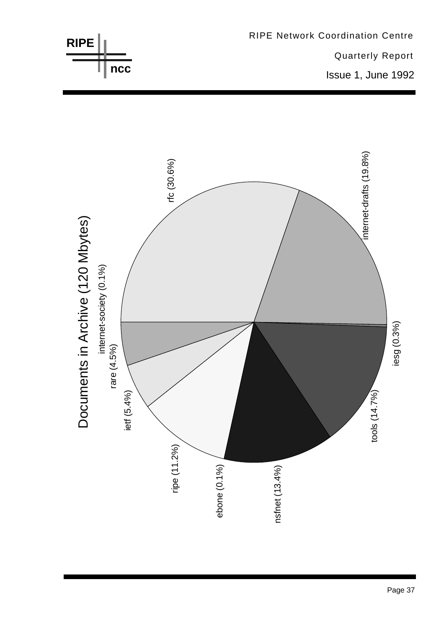

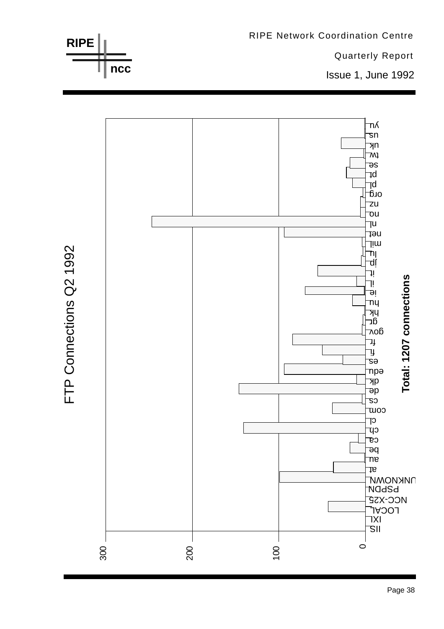

**RIPE Network Coordination Centre**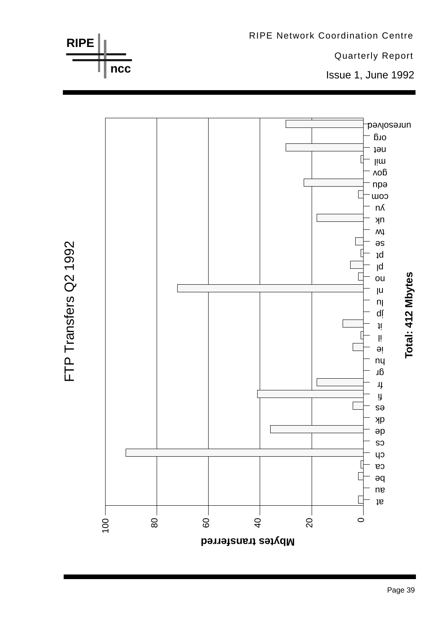



RIPE Network Coordination Centre

Quarterly Report

Issue 1, June 1992

**ncc**

**RIPE**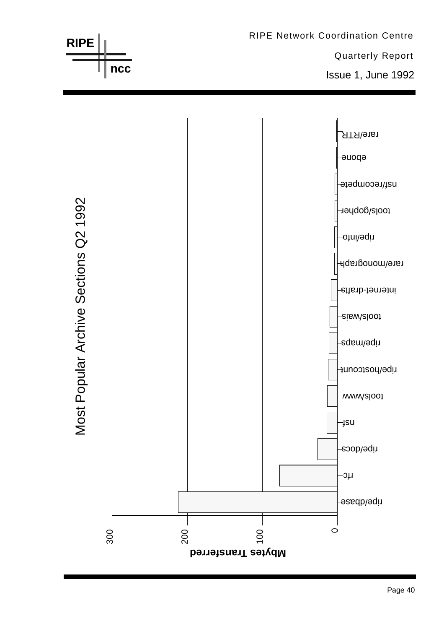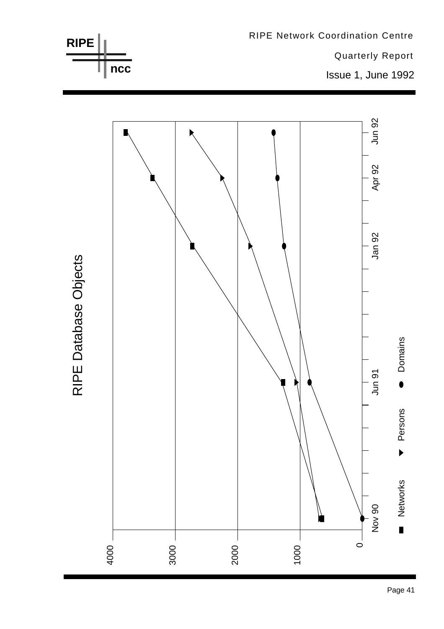

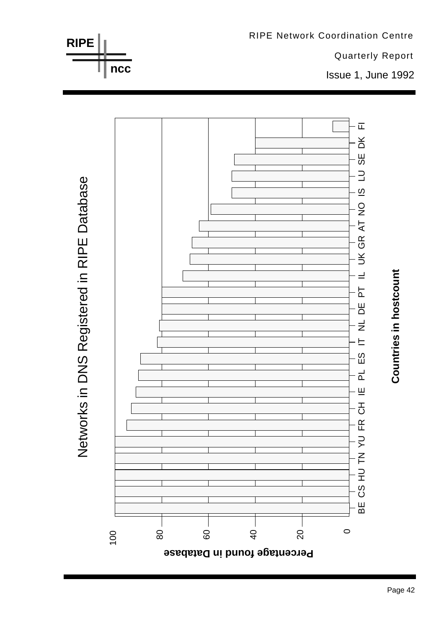

**Countries in hostcount**

Countries in hostcount

Networks in DNS Registered in RIPE Database Networks in DNS Registered in RIPE Database

**RIPE**

**ncc**



Quarterly Report

Issue 1, June 1992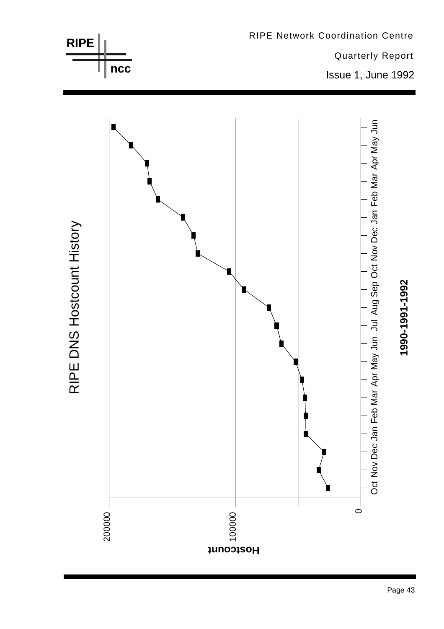



Page 43